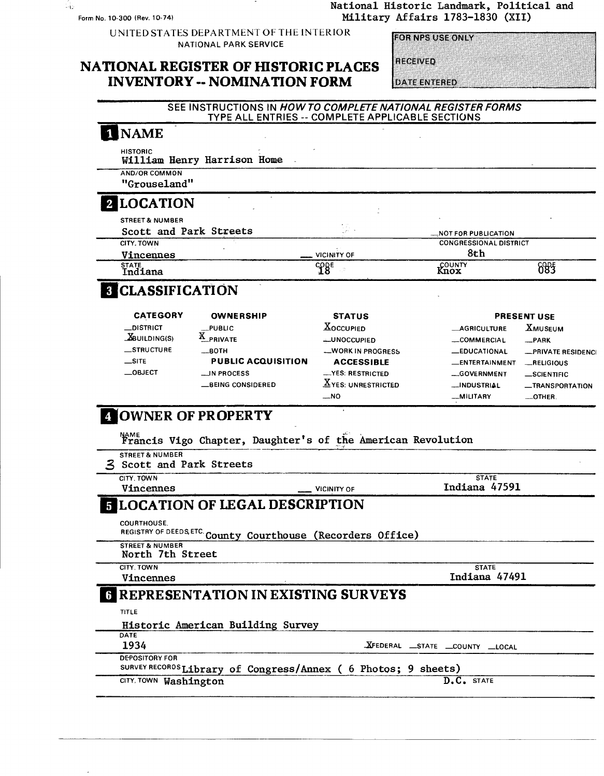**Form No. 10-300 (Rev. 10-74)**

 $\mathbb{Z}_{42}$ 

### National Historic Landmark, Political and Military Affairs 1783-1830 (XII)

UNITED STATES DEPARTMENT OF THE INTERIOR NATIONAL PARK SERVICE

# **NATIONAL REGISTER OF HISTORIC PLACES INVENTORY -- NOMINATION FORM**

| <b>FOR NPS USE ONLY</b> |  |  |
|-------------------------|--|--|
|                         |  |  |
|                         |  |  |
|                         |  |  |
|                         |  |  |
|                         |  |  |
|                         |  |  |
| <b>IRECEIVED</b>        |  |  |
|                         |  |  |
|                         |  |  |
|                         |  |  |
|                         |  |  |
|                         |  |  |
|                         |  |  |
| <b>DATE ENTERED</b>     |  |  |
|                         |  |  |

### **SEE INSTRUCTIONS IN HOW TO COMPLETE NATIONAL REGISTER FORMS TYPE ALL ENTRIES -- COMPLETE APPLICABLE SECTIONS**

| <b>HISTORIC</b><br>William Henry Harrison Home                                                                                       |                                       |                                                      |                                      |
|--------------------------------------------------------------------------------------------------------------------------------------|---------------------------------------|------------------------------------------------------|--------------------------------------|
| <b>AND/OR COMMON</b><br>"Grouseland"                                                                                                 |                                       |                                                      |                                      |
|                                                                                                                                      |                                       |                                                      |                                      |
| <b>2 LOCATION</b>                                                                                                                    |                                       |                                                      |                                      |
| <b>STREET &amp; NUMBER</b><br>Scott and Park Streets                                                                                 |                                       |                                                      |                                      |
| CITY, TOWN                                                                                                                           |                                       | NOT FOR PUBLICATION<br><b>CONGRESSIONAL DISTRICT</b> |                                      |
| Vincennes                                                                                                                            | <b>VICINITY OF</b>                    | 8th                                                  |                                      |
| <b>STATE</b><br>Indiana                                                                                                              | ၯ႙ၟႄႄ                                 | <b>COUNTY</b><br><b>Knox</b>                         | 685                                  |
| <b>8 CLASSIFICATION</b>                                                                                                              |                                       |                                                      |                                      |
| <b>CATEGORY</b><br><b>OWNERSHIP</b>                                                                                                  | <b>STATUS</b>                         |                                                      | <b>PRESENT USE</b>                   |
| _DISTRICT<br>_PUBLIC                                                                                                                 | $\underline{\textbf{X}}$ OCCUPIED     | <b>_AGRICULTURE</b>                                  | <b>XMUSEUM</b>                       |
| <b>X</b> PRIVATE<br>$\chi$ BUILDING(S)                                                                                               | -UNOCCUPIED                           | COMMERCIAL                                           | $-$ PARK                             |
| STRUCTURE<br>$-$ BOTH<br>$\equiv$ SITE                                                                                               | <b>WORK IN PROGRESS</b>               | <b>EDUCATIONAL</b>                                   | -PRIVATE RESIDENCI                   |
| <b>PUBLIC ACQUISITION</b><br>$\_$ OBJECT                                                                                             | <b>ACCESSIBLE</b><br>-YES: RESTRICTED | <b>ENTERTAINMENT</b>                                 | $-$ RELIGIOUS                        |
| _IN PROCESS<br><b>_BEING CONSIDERED</b>                                                                                              | $\underline{X}$ YES: UNRESTRICTED     | -GOVERNMENT<br>_INDUSTRIAL                           | _SCIENTIFIC                          |
|                                                                                                                                      | $_{\rm -NO}$                          | <b>MILITARY</b>                                      | <b>_TRANSPORTATION</b><br>$-$ OTHER. |
| <b>A OWNER OF PROPERTY</b>                                                                                                           |                                       |                                                      |                                      |
| NAME<br>Francis Vigo Chapter, Daughter's of the American Revolution<br><b>STREET &amp; NUMBER</b><br><b>3</b> Scott and Park Streets |                                       |                                                      |                                      |
| CITY, TOWN<br>Vincennes                                                                                                              | <b>VICINITY OF</b>                    | <b>STATE</b><br>Indiana 47591                        |                                      |
| <b>ELOCATION OF LEGAL DESCRIPTION</b>                                                                                                |                                       |                                                      |                                      |
| COURTHOUSE.<br>REGISTRY OF DEEDS, ETC. County Courthouse (Recorders Office)                                                          |                                       |                                                      |                                      |
| <b>STREET &amp; NUMBER</b><br>North 7th Street                                                                                       |                                       |                                                      |                                      |
| CITY. TOWN                                                                                                                           |                                       | <b>STATE</b>                                         |                                      |
| Vincennes                                                                                                                            |                                       | Indiana 47491                                        |                                      |
| REPRESENTATION IN EXISTING SURVEYS                                                                                                   |                                       |                                                      |                                      |
| TITLE                                                                                                                                |                                       |                                                      |                                      |
| Historic American Building Survey<br><b>DATE</b>                                                                                     |                                       |                                                      |                                      |
| 1934                                                                                                                                 |                                       | XFEDERAL STATE COUNTY LOCAL                          |                                      |
| <b>DEPOSITORY FOR</b><br>SURVEY RECOROS Library of Congress/Annex ( 6 Photos; 9 sheets)                                              |                                       |                                                      |                                      |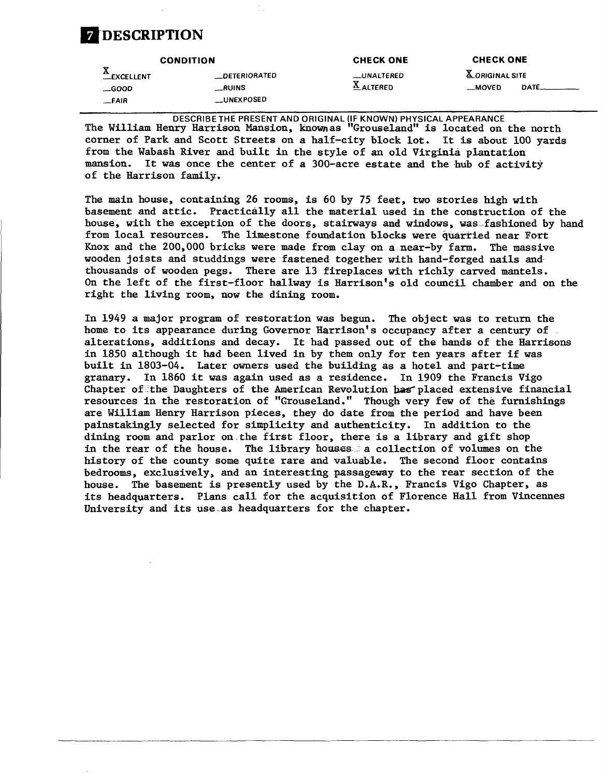

|           | <b>CONDITION</b>    | <b>CHECK ONE</b>   | <b>CHECK ONE</b>       |       |
|-----------|---------------------|--------------------|------------------------|-------|
| EXCELLENT | <b>DETERIORATED</b> | <b>__UNALTERED</b> | <b>X</b> ORIGINAL SITE |       |
| __GOOD    | __RUINS             | ALTERED            | $-MOVED$               | DATE_ |
| $-FAIR$   | <b>__UNEXPOSED</b>  |                    |                        |       |

DESCRIBE THE PRESENT AND ORIGINAL (IF KNOWN) PHYSICAL APPEARANCE The William Henry Harrison Mansion, knownas "Grouseland" is located on the north corner of Park and Scott Streets on a half-city block lot. It is about 100 yards from the Wabash River and built in the style of an old Virginia plantation mansion. It was once the center of a 300-acre estate and the hub of activity of the Harrison family.

The main house, containing 26 rooms, is 60 by 75 feet, two stories high with basement and attic. Practically all the material used in the construction of the house, with the exception of the doors, stairways and windows, was:fashioned by hand from local resources. The limestone foundation blocks were quarried near Fort Knox and the 200,000 bricks were made from clay on a near-by farm. The massive wooden joists and studdings were fastened together with hand-forged nails and thousands of wooden pegs. There are 13 fireplaces with richly carved mantels. On the left of the first-floor hallway is Harrison's old council chamber and on the right the living room, now the dining room.

In 1949 a major program of restoration was begun. The object was to return the home to its appearance during Governor Harrison's occupancy after a century of alterations, additions and decay. It had passed out of the hands of the Harrisons in 1850 although it had been lived in by them only for ten years after if was built in 1803-04. Later owners used the building as a hotel and part-time granary. In 1860 it was again used as a residence. In 1909 the Francis Vigo Chapter of the Daughters of the American Revolution has placed extensive financial resources in the restoration of "Grouseland." Though very few of the furnishings are William Henry Harrison pieces, they do date from the period and have been painstakingly selected for simplicity and authenticity. In addition to the dining room and parlor on,the first floor, there is a library and gift shop in the rear of the house. The library houses a collection of volumes on the history of the county some quite rare and valuable. The second floor contains bedrooms, exclusively, and an interesting passageway to the rear section of the house. The basement is presently used by the D.A.R., Francis Vigo Chapter, as its headquarters. Plans call for the acquisition of Florence Hall from Vincennes University and its use as headquarters for the chapter.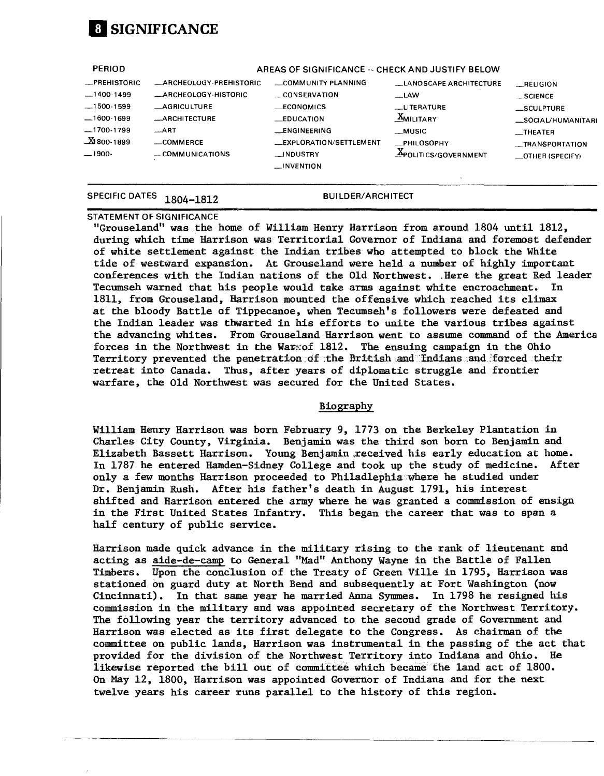

### **PERIOD**

#### **AREAS OF SIGNIFICANCE -- CHECK AND JUSTIFY BELOW**

**—PREHISTORIC — 1400-1499 — 1500-1599 —1600-1699 — 1700-1799 J§ 800-1899 \_ 1900- —ARCHEOLOGY-PREHISTORIC \_ARCHEOLOGY-HISTORIC \_AGRICULTURE —ARCHITECTURE \_ART —COMMERCE —COMMUNICATIONS \_COMMUNITY PLANNING —CONSERVATION \_ECONOMICS —EDUCATION —ENGINEERING —EXPLORATION/SETTLEMENT —INDUSTRY —INVENTION —LANDSCAPE ARCHITECTURE —LAW —LITERATURE EMILITARY —MUSIC \_PHILOSOPHY —^POLITICS/GOVERNMENT \_REtlGION —SCIENCE \_SCULPTURE \_SOCIAL/HUMANITARI —THEATER —TRANSPORTATION —OTHER (SPECIFY)**

# **SPECIFIC DATES 1804\_1812 BUILDER/ARCHITECT**

### **STATEMENT OF SIGNIFICANCE**

"Grouseland" was the home of William Henry Harrison from around 1804 until 1812, during which time Harrison was Territorial Governor of Indiana and foremost defender of white settlement against the Indian tribes who attempted to block the White tide of westward expansion. At Grouseland were held a number of highly important conferences with the Indian nations of the Old Northwest. .Here the great Red leader Tecumseh warned that his people would take arms against white encroachment. In 1811, from Grouseland, Harrison mounted the offensive which reached its climax at the bloody Battle of Tippecanoe, when Teeumseh's followers were defeated and the Indian leader was thwarted in his efforts to unite the various tribes against the advancing whites. From Grouseland Harrison went to assume command of the America forces in the Northwest in the Warsof 1812. The ensuing campaign in the Ohio Territory prevented the penetration of the British and Indians and forced their retreat into Canada. Thus, after years of diplomatic struggle and frontier warfare, the Old Northwest was secured for the United States.

### Biography

William Henry Harrison was born February 9, 1773 on the Berkeley Plantation in Charles City County, Virginia. Benjamin was the third son born to Benjamin and Elizabeth Bassett Harrison. Young Benjamin received his early education at home. In 1787 he entered Hamden-Sidney College and took up the study of medicine. After only a few months Harrison proceeded to Philadlephia rwhere he studied under Dr. Benjamin Rush. After his father's death in August 1791, his interest shifted and Harrison entered the army where he was granted a commission of ensign in the First United States Infantry. This began the career that was to span a half century of public service.

Harrison made quick advance in the military rising to the rank of lieutenant and acting as aide-de-camp to General "Mad" Anthony Wayne in the Battle of Fallen Timbers. Upon the conclusion of the Treaty of Green Ville in 1795, Harrison was stationed on guard duty at North Bend and subsequently at Fort Washington (now Cincinnati). In that same year he married Anna Symmes. In 1798 he resigned his commission in the military and was appointed secretary of the Northwest Territory. The following year the territory advanced to the second grade of Government and Harrison was elected as its first delegate to the Congress. As chairman of the committee on public lands, Harrison was instrumental in the passing of the act that provided for the division of the Northwest Territory into Indiana and Ohio. He likewise reported the bill out of committee which became the land act of 1800. On May 12, 1800, Harrison was appointed Governor of Indiana and for the next twelve years his career runs parallel to the history of this region.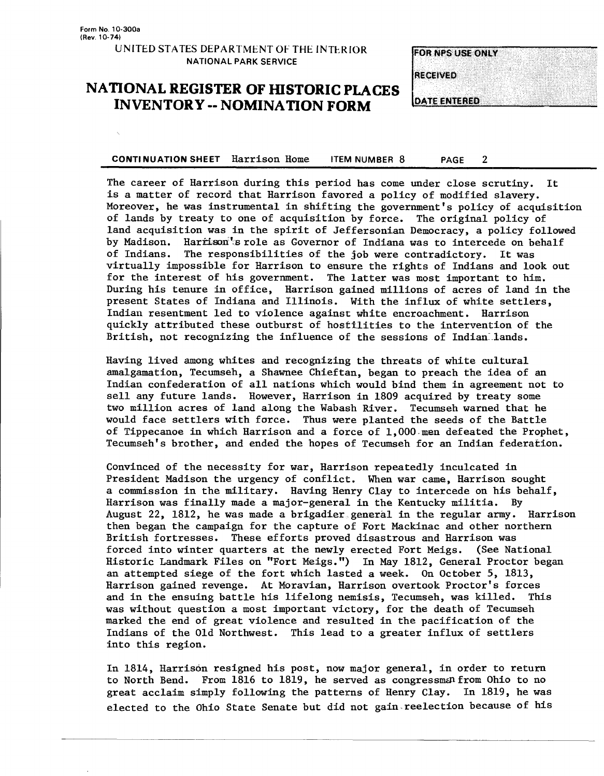### **UNITED STATES DEPARTMENT OF THE INTERIOR NATIONAL PARK SERVICE**

# **NATIONAL REGISTER OF HISTORIC PLACES INVENTORY -- NOMINATION FORM**

| <b>FOR NPS USE ONLY</b> |  |  |  |
|-------------------------|--|--|--|
|                         |  |  |  |
| <b>RECEIVED</b>         |  |  |  |
|                         |  |  |  |
| <b>DATE ENTERED</b>     |  |  |  |

**CONTINUATION SHEET** Harrison Home ITEM NUMBER 8 PAGE 2

The career of Harrison during this period has come under close scrutiny. It is a matter of record that Harrison favored a policy of modified slavery. Moreover, he was instrumental in shifting the government's policy of acquisition of lands by treaty to one of acquisition by force. The original policy of land acquisition was in the spirit of Jeffersonian Democracy, a policy followed by Madison. Harrison's role as Governor of Indiana was to intercede on behalf of Indians. The responsibilities of the fob were contradictory. It was virtually impossible for Harrison to ensure the rights of Indians and look out for the interest of his government. The latter was most important to him. During his tenure in office, Harrison gained millions of acres of land in the present States of Indiana and Illinois. With the influx of white settlers, Indian resentment led to violence against white encroachment. Harrison quickly attributed these outburst of hostilities to the intervention of the British, not recognizing the influence of the sessions of Indian lands.

Having lived among whites and recognizing the threats of white cultural amalgamation, Tecumseh, a Shawnee Chieftan, began to preach the idea of an Indian confederation of all nations which would bind them in agreement not to sell any future lands. However, Harrison in 1809 acquired by treaty some two million acres of land along the Wabash River. Tecumseh warned that he would face settlers with force. Thus were planted the seeds of the Battle of Tippecanoe in which Harrison and a force of 1,000-men defeated the Prophet, Tecumseh's brother, and ended the hopes of Tecumseh for an Indian federation.

Convinced of the necessity for war, Harrison repeatedly inculcated in President Madison the urgency of conflict. When war came, Harrison sought a commission in the military. Having Henry Clay to intercede on his behalf, Harrison was finally made a major-general in the Kentucky militia. By August 22, 1812, he was made a brigadier general in the regular army. Harrison then began the campaign for the capture of Fort Mackinac and other northern British fortresses. These efforts proved disastrous and Harrison was forced into winter quarters at the newly erected Fort Meigs. (See National Historic Landmark Files on "Fort Meigs.") In May 1812, General Proctor began an attempted siege of the fort which lasted a week. On October 5, 1813, Harrison gained revenge. At Moravian, Harrison overtook Proctor's forces and in the ensuing battle his lifelong nemisis, Tecumseh, was killed. This was without question a most important victory, for the death of Tecumseh marked the end of great violence and resulted in the pacification of the Indians of the Old Northwest. This lead to a greater influx of settlers into this region.

In 1814, Harrison resigned his post, now major general, in order to return to North Bend. From 1816 to 1819, he served as congressmen from Ohio to no great acclaim simply following the patterns of Henry Clay. In 1819, he was elected to the Ohio State Senate but did not gain,reelection because of his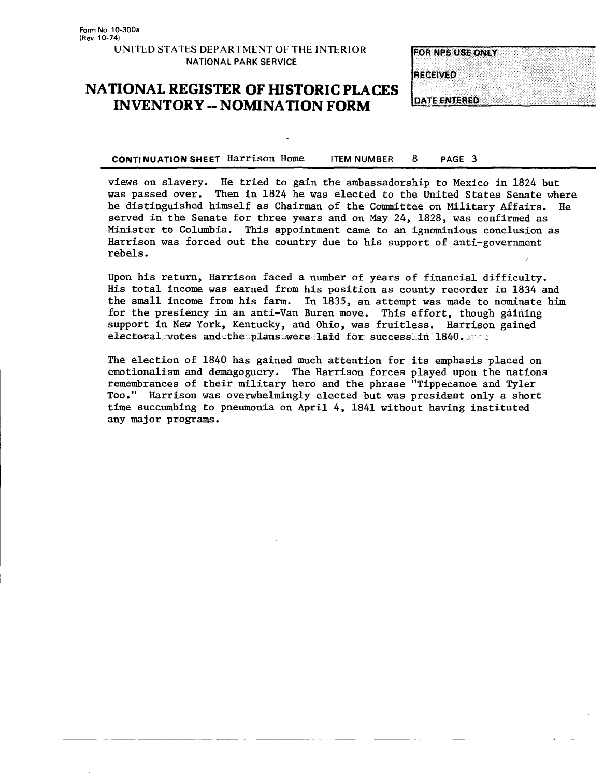## **NATIONAL REGISTER OF HISTORIC PLACES INVENTORY -- NOMINATION FORM**

| <b>FOR NPS USE ONLY</b> |  |  |  |
|-------------------------|--|--|--|
|                         |  |  |  |
| <b>RECEIVED</b>         |  |  |  |
|                         |  |  |  |
| <b>DATE ENTERED</b>     |  |  |  |

CONTINUATION SHEET Harrison Home ITEM NUMBER 8 PAGE 3

views on slavery. He tried to gain the ambassadorship to Mexico in 1824 but was passed over. Then in 1824 he was elected to the United States Senate where he distinguished himself as Chairman of the Committee on Military Affairs. He served in the Senate for three years and on May 24, 1828, was confirmed as Minister td Columbia. This appointment came to an ignominious conclusion as Harrison was forced out the country due to his support of anti-government rebels.

Upon his return, Harrison faced a number of years of financial difficulty. His total income was earned from his position as county recorder in 1834 and the small income from his farm. In 1835, an attempt was made to nominate him for the presiency in an anti-Van Buren move. This effort, though gaining support in New York, Kentucky, and Ohio, was fruitless. Harrison gained electoral wotes and the .plans were laid for success.in 1840. succe

The election of 1840 has gained much attention for its emphasis placed on emotionalism and demagoguery. The Harrison forces played upon the nations remembrances of their military hero and the phrase "Tippecanoe and Tyler Too." Harrison was overwhelmingly elected but was president only a short time succumbing to pneumonia on April 4, 1841 without having instituted any major programs.